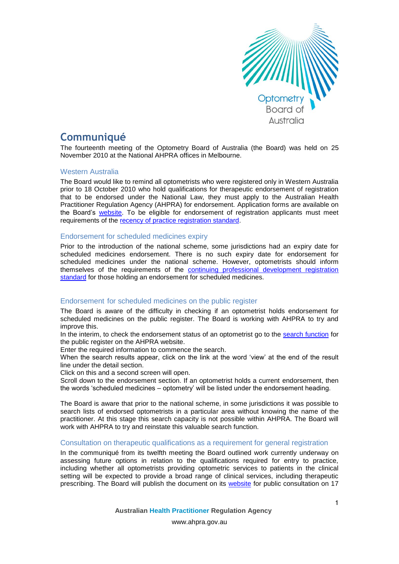

# **Communiqué**

The fourteenth meeting of the Optometry Board of Australia (the Board) was held on 25 November 2010 at the National AHPRA offices in Melbourne.

## Western Australia

The Board would like to remind all optometrists who were registered only in Western Australia prior to 18 October 2010 who hold qualifications for therapeutic endorsement of registration that to be endorsed under the National Law, they must apply to the Australian Health Practitioner Regulation Agency (AHPRA) for endorsement. Application forms are available on the Board's [website.](http://www.optometryboard.gov.au/Forms.aspx) To be eligible for endorsement of registration applicants must meet requirements of the [recency of practice registration standard.](http://www.optometryboard.gov.au/Registration-Standards.aspx)

## Endorsement for scheduled medicines expiry

Prior to the introduction of the national scheme, some jurisdictions had an expiry date for scheduled medicines endorsement. There is no such expiry date for endorsement for scheduled medicines under the national scheme. However, optometrists should inform themselves of the requirements of the [continuing professional development registration](http://www.optometryboard.gov.au/Registration-Standards.aspx)  [standard](http://www.optometryboard.gov.au/Registration-Standards.aspx) for those holding an endorsement for scheduled medicines.

## Endorsement for scheduled medicines on the public register

The Board is aware of the difficulty in checking if an optometrist holds endorsement for scheduled medicines on the public register. The Board is working with AHPRA to try and improve this.

In the interim, to check the endorsement status of an optometrist go to the [search function](http://www.ahpra.gov.au/Registration/Registers-of-Practitioners.aspx) for the public register on the AHPRA website.

Enter the required information to commence the search.

When the search results appear, click on the link at the word 'view' at the end of the result line under the detail section.

Click on this and a second screen will open.

Scroll down to the endorsement section. If an optometrist holds a current endorsement, then the words 'scheduled medicines – optometry' will be listed under the endorsement heading.

The Board is aware that prior to the national scheme, in some jurisdictions it was possible to search lists of endorsed optometrists in a particular area without knowing the name of the practitioner. At this stage this search capacity is not possible within AHPRA. The Board will work with AHPRA to try and reinstate this valuable search function.

## Consultation on therapeutic qualifications as a requirement for general registration

In the communiqué from its twelfth meeting the Board outlined work currently underway on assessing future options in relation to the qualifications required for entry to practice, including whether all optometrists providing optometric services to patients in the clinical setting will be expected to provide a broad range of clinical services, including therapeutic prescribing. The Board will publish the document on its [website](http://www.optometryboard.gov.au/) for public consultation on 17

www.ahpra.gov.au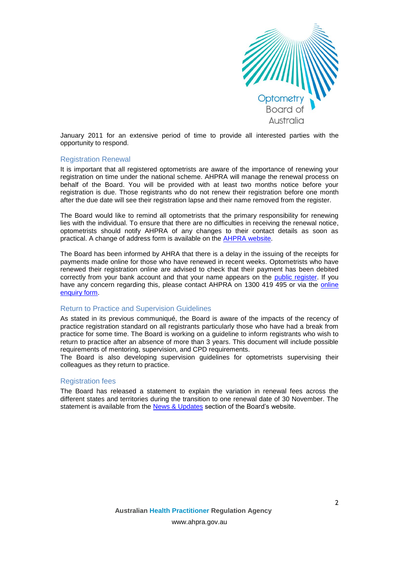

January 2011 for an extensive period of time to provide all interested parties with the opportunity to respond.

#### Registration Renewal

It is important that all registered optometrists are aware of the importance of renewing your registration on time under the national scheme. AHPRA will manage the renewal process on behalf of the Board. You will be provided with at least two months notice before your registration is due. Those registrants who do not renew their registration before one month after the due date will see their registration lapse and their name removed from the register.

The Board would like to remind all optometrists that the primary responsibility for renewing lies with the individual. To ensure that there are no difficulties in receiving the renewal notice, optometrists should notify AHPRA of any changes to their contact details as soon as practical. A change of address form is available on the [AHPRA website.](http://www.ahpra.gov.au/Registration/Registration-Process/Common-Application-Forms.aspx)

The Board has been informed by AHRA that there is a delay in the issuing of the receipts for payments made online for those who have renewed in recent weeks. Optometrists who have renewed their registration online are advised to check that their payment has been debited correctly from your bank account and that your name appears on the [public register.](http://www.ahpra.gov.au/Registration/Registers-of-Practitioners.aspx) If you have any concern regarding this, please contact AHPRA on 1300 419 495 or via the [online](https://www.ahpra.gov.au/about-ahpra/contact-us/make-an-enquiry.aspx)  [enquiry form.](https://www.ahpra.gov.au/about-ahpra/contact-us/make-an-enquiry.aspx)

#### Return to Practice and Supervision Guidelines

As stated in its previous communiqué, the Board is aware of the impacts of the recency of practice registration standard on all registrants particularly those who have had a break from practice for some time. The Board is working on a guideline to inform registrants who wish to return to practice after an absence of more than 3 years. This document will include possible requirements of mentoring, supervision, and CPD requirements.

The Board is also developing supervision guidelines for optometrists supervising their colleagues as they return to practice.

#### Registration fees

The Board has released a statement to explain the variation in renewal fees across the different states and territories during the transition to one renewal date of 30 November. The statement is available from the [News & Updates](http://www.optometryboard.gov.au/News.aspx) section of the Board's website.